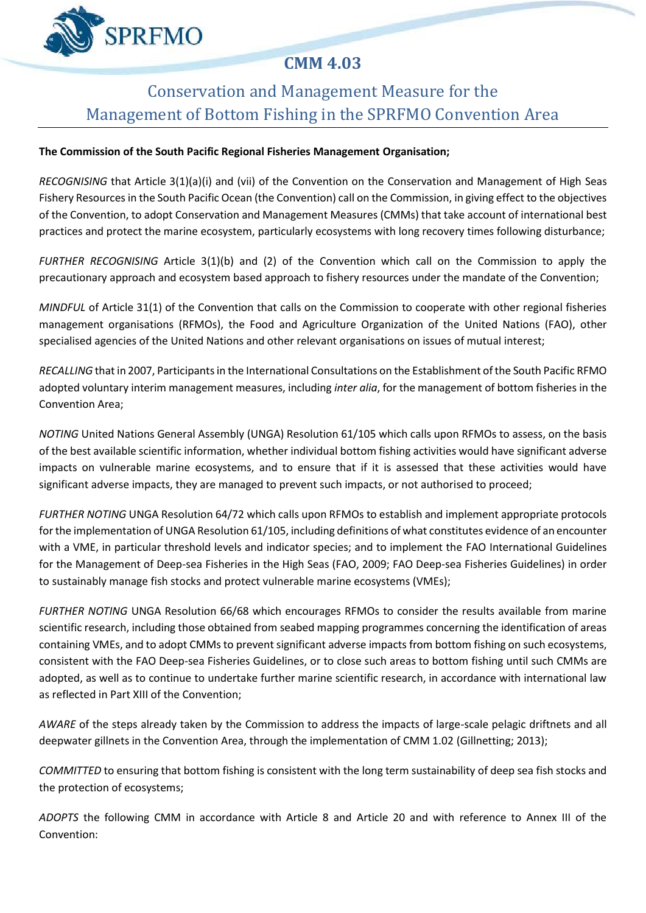# **CMM 4.03**

# Conservation and Management Measure for the Management of Bottom Fishing in the SPRFMO Convention Area

# **The Commission of the South Pacific Regional Fisheries Management Organisation;**

**SPRFMO** 

*RECOGNISING* that Article 3(1)(a)(i) and (vii) of the Convention on the Conservation and Management of High Seas Fishery Resources in the South Pacific Ocean (the Convention) call on the Commission, in giving effect to the objectives of the Convention, to adopt Conservation and Management Measures (CMMs) that take account of international best practices and protect the marine ecosystem, particularly ecosystems with long recovery times following disturbance;

*FURTHER RECOGNISING* Article 3(1)(b) and (2) of the Convention which call on the Commission to apply the precautionary approach and ecosystem based approach to fishery resources under the mandate of the Convention;

*MINDFUL* of Article 31(1) of the Convention that calls on the Commission to cooperate with other regional fisheries management organisations (RFMOs), the Food and Agriculture Organization of the United Nations (FAO), other specialised agencies of the United Nations and other relevant organisations on issues of mutual interest;

*RECALLING* that in 2007, Participants in the International Consultations on the Establishment of the South Pacific RFMO adopted voluntary interim management measures, including *inter alia*, for the management of bottom fisheries in the Convention Area;

*NOTING* United Nations General Assembly (UNGA) Resolution 61/105 which calls upon RFMOs to assess, on the basis of the best available scientific information, whether individual bottom fishing activities would have significant adverse impacts on vulnerable marine ecosystems, and to ensure that if it is assessed that these activities would have significant adverse impacts, they are managed to prevent such impacts, or not authorised to proceed;

*FURTHER NOTING* UNGA Resolution 64/72 which calls upon RFMOs to establish and implement appropriate protocols for the implementation of UNGA Resolution 61/105, including definitions of what constitutes evidence of an encounter with a VME, in particular threshold levels and indicator species; and to implement the FAO International Guidelines for the Management of Deep-sea Fisheries in the High Seas (FAO, 2009; FAO Deep-sea Fisheries Guidelines) in order to sustainably manage fish stocks and protect vulnerable marine ecosystems (VMEs);

*FURTHER NOTING* UNGA Resolution 66/68 which encourages RFMOs to consider the results available from marine scientific research, including those obtained from seabed mapping programmes concerning the identification of areas containing VMEs, and to adopt CMMs to prevent significant adverse impacts from bottom fishing on such ecosystems, consistent with the FAO Deep-sea Fisheries Guidelines, or to close such areas to bottom fishing until such CMMs are adopted, as well as to continue to undertake further marine scientific research, in accordance with international law as reflected in Part XIII of the Convention;

*AWARE* of the steps already taken by the Commission to address the impacts of large‐scale pelagic driftnets and all deepwater gillnets in the Convention Area, through the implementation of CMM 1.02 (Gillnetting; 2013);

*COMMITTED* to ensuring that bottom fishing is consistent with the long term sustainability of deep sea fish stocks and the protection of ecosystems;

*ADOPTS* the following CMM in accordance with Article 8 and Article 20 and with reference to Annex III of the Convention: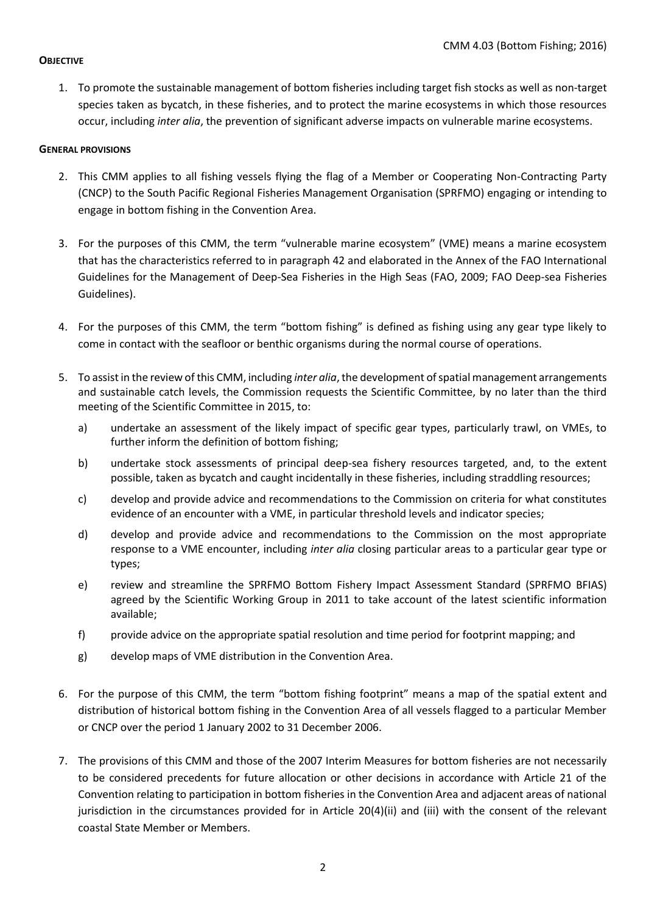#### **OBJECTIVE**

1. To promote the sustainable management of bottom fisheries including target fish stocks as well as non-target species taken as bycatch, in these fisheries, and to protect the marine ecosystems in which those resources occur, including *inter alia*, the prevention of significant adverse impacts on vulnerable marine ecosystems.

#### **GENERAL PROVISIONS**

- 2. This CMM applies to all fishing vessels flying the flag of a Member or Cooperating Non-Contracting Party (CNCP) to the South Pacific Regional Fisheries Management Organisation (SPRFMO) engaging or intending to engage in bottom fishing in the Convention Area.
- 3. For the purposes of this CMM, the term "vulnerable marine ecosystem" (VME) means a marine ecosystem that has the characteristics referred to in paragraph 42 and elaborated in the Annex of the FAO International Guidelines for the Management of Deep-Sea Fisheries in the High Seas (FAO, 2009; FAO Deep-sea Fisheries Guidelines).
- 4. For the purposes of this CMM, the term "bottom fishing" is defined as fishing using any gear type likely to come in contact with the seafloor or benthic organisms during the normal course of operations.
- 5. To assist in the review of this CMM, including *inter alia*, the development of spatial management arrangements and sustainable catch levels, the Commission requests the Scientific Committee, by no later than the third meeting of the Scientific Committee in 2015, to:
	- a) undertake an assessment of the likely impact of specific gear types, particularly trawl, on VMEs, to further inform the definition of bottom fishing;
	- b) undertake stock assessments of principal deep-sea fishery resources targeted, and, to the extent possible, taken as bycatch and caught incidentally in these fisheries, including straddling resources;
	- c) develop and provide advice and recommendations to the Commission on criteria for what constitutes evidence of an encounter with a VME, in particular threshold levels and indicator species;
	- d) develop and provide advice and recommendations to the Commission on the most appropriate response to a VME encounter, including *inter alia* closing particular areas to a particular gear type or types;
	- e) review and streamline the SPRFMO Bottom Fishery Impact Assessment Standard (SPRFMO BFIAS) agreed by the Scientific Working Group in 2011 to take account of the latest scientific information available;
	- f) provide advice on the appropriate spatial resolution and time period for footprint mapping; and
	- g) develop maps of VME distribution in the Convention Area.
- 6. For the purpose of this CMM, the term "bottom fishing footprint" means a map of the spatial extent and distribution of historical bottom fishing in the Convention Area of all vessels flagged to a particular Member or CNCP over the period 1 January 2002 to 31 December 2006.
- 7. The provisions of this CMM and those of the 2007 Interim Measures for bottom fisheries are not necessarily to be considered precedents for future allocation or other decisions in accordance with Article 21 of the Convention relating to participation in bottom fisheries in the Convention Area and adjacent areas of national jurisdiction in the circumstances provided for in Article 20(4)(ii) and (iii) with the consent of the relevant coastal State Member or Members.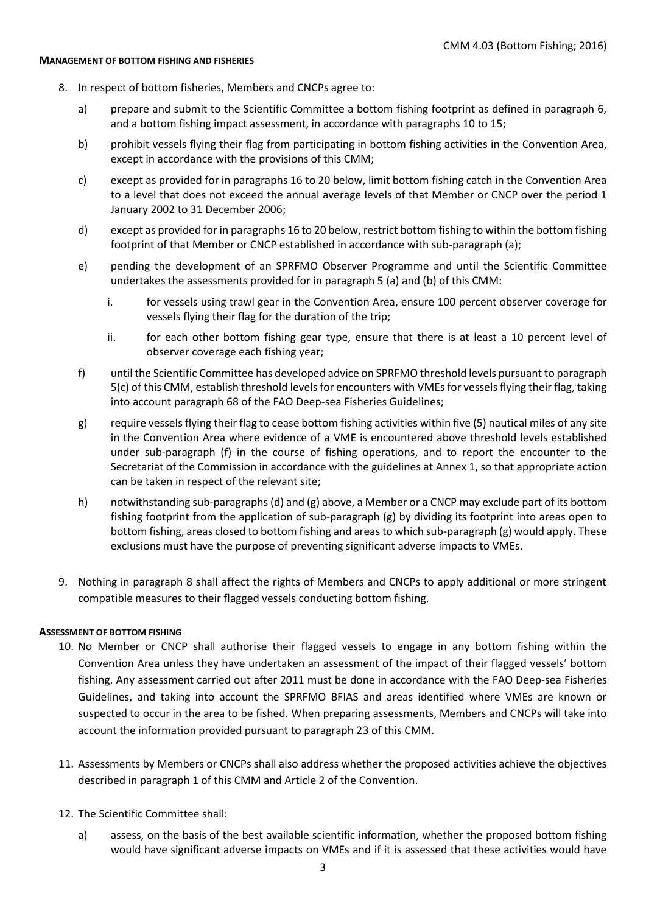#### **MANAGEMENT OF BOTTOM FISHING AND FISHERIES**

- 8. In respect of bottom fisheries, Members and CNCPs agree to:
	- a) prepare and submit to the Scientific Committee a bottom fishing footprint as defined in paragraph 6, and a bottom fishing impact assessment, in accordance with paragraphs 10 to 15;
	- b) prohibit vessels flying their flag from participating in bottom fishing activities in the Convention Area, except in accordance with the provisions of this CMM;
	- c) except as provided for in paragraphs 16 to 20 below, limit bottom fishing catch in the Convention Area to a level that does not exceed the annual average levels of that Member or CNCP over the period 1 January 2002 to 31 December 2006;
	- d) except as provided for in paragraphs 16 to 20 below, restrict bottom fishing to within the bottom fishing footprint of that Member or CNCP established in accordance with sub-paragraph (a);
	- e) pending the development of an SPRFMO Observer Programme and until the Scientific Committee undertakes the assessments provided for in paragraph 5 (a) and (b) of this CMM:
		- i. for vessels using trawl gear in the Convention Area, ensure 100 percent observer coverage for vessels flying their flag for the duration of the trip;
		- ii. for each other bottom fishing gear type, ensure that there is at least a 10 percent level of observer coverage each fishing year;
	- f) until the Scientific Committee has developed advice on SPRFMO threshold levels pursuant to paragraph 5(c) of this CMM, establish threshold levels for encounters with VMEs for vessels flying their flag, taking into account paragraph 68 of the FAO Deep-sea Fisheries Guidelines;
	- g) require vessels flying their flag to cease bottom fishing activities within five (5) nautical miles of any site in the Convention Area where evidence of a VME is encountered above threshold levels established under sub-paragraph (f) in the course of fishing operations, and to report the encounter to the Secretariat of the Commission in accordance with the guidelines at Annex 1, so that appropriate action can be taken in respect of the relevant site;
	- h) notwithstanding sub-paragraphs (d) and (g) above, a Member or a CNCP may exclude part of its bottom fishing footprint from the application of sub-paragraph (g) by dividing its footprint into areas open to bottom fishing, areas closed to bottom fishing and areas to which sub-paragraph (g) would apply. These exclusions must have the purpose of preventing significant adverse impacts to VMEs.
- 9. Nothing in paragraph 8 shall affect the rights of Members and CNCPs to apply additional or more stringent compatible measures to their flagged vessels conducting bottom fishing.

#### **ASSESSMENT OF BOTTOM FISHING**

- 10. No Member or CNCP shall authorise their flagged vessels to engage in any bottom fishing within the Convention Area unless they have undertaken an assessment of the impact of their flagged vessels' bottom fishing. Any assessment carried out after 2011 must be done in accordance with the FAO Deep-sea Fisheries Guidelines, and taking into account the SPRFMO BFIAS and areas identified where VMEs are known or suspected to occur in the area to be fished. When preparing assessments, Members and CNCPs will take into account the information provided pursuant to paragraph 23 of this CMM.
- 11. Assessments by Members or CNCPs shall also address whether the proposed activities achieve the objectives described in paragraph 1 of this CMM and Article 2 of the Convention.
- 12. The Scientific Committee shall:
	- a) assess, on the basis of the best available scientific information, whether the proposed bottom fishing would have significant adverse impacts on VMEs and if it is assessed that these activities would have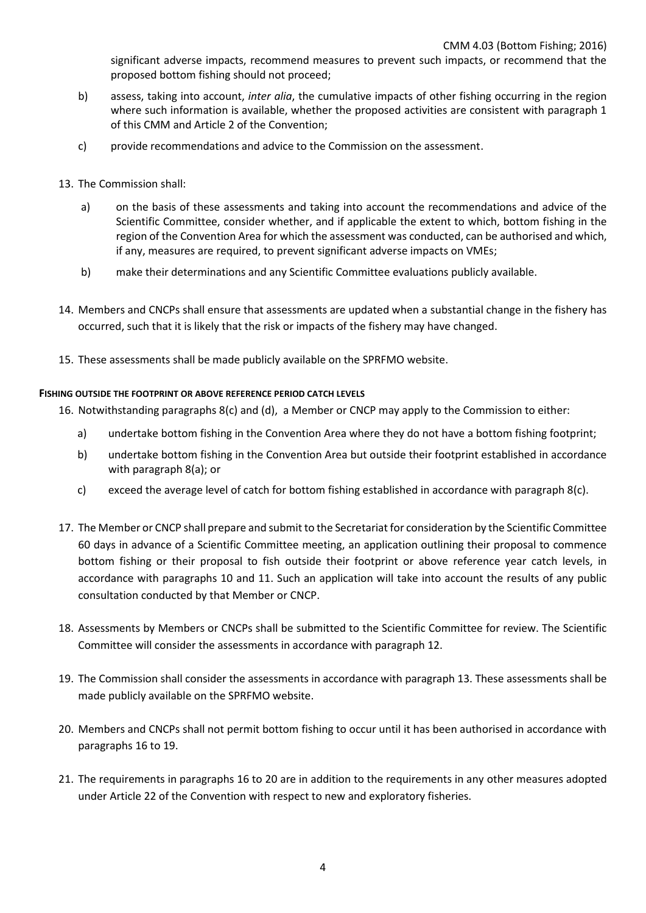significant adverse impacts, recommend measures to prevent such impacts, or recommend that the proposed bottom fishing should not proceed;

- b) assess, taking into account, *inter alia*, the cumulative impacts of other fishing occurring in the region where such information is available, whether the proposed activities are consistent with paragraph 1 of this CMM and Article 2 of the Convention;
- c) provide recommendations and advice to the Commission on the assessment.
- 13. The Commission shall:
	- a) on the basis of these assessments and taking into account the recommendations and advice of the Scientific Committee, consider whether, and if applicable the extent to which, bottom fishing in the region of the Convention Area for which the assessment was conducted, can be authorised and which, if any, measures are required, to prevent significant adverse impacts on VMEs;
	- b) make their determinations and any Scientific Committee evaluations publicly available.
- 14. Members and CNCPs shall ensure that assessments are updated when a substantial change in the fishery has occurred, such that it is likely that the risk or impacts of the fishery may have changed.
- 15. These assessments shall be made publicly available on the SPRFMO website.

#### **FISHING OUTSIDE THE FOOTPRINT OR ABOVE REFERENCE PERIOD CATCH LEVELS**

16. Notwithstanding paragraphs 8(c) and (d), a Member or CNCP may apply to the Commission to either:

- a) undertake bottom fishing in the Convention Area where they do not have a bottom fishing footprint;
- b) undertake bottom fishing in the Convention Area but outside their footprint established in accordance with paragraph 8(a); or
- c) exceed the average level of catch for bottom fishing established in accordance with paragraph 8(c).
- 17. The Member or CNCP shall prepare and submit to the Secretariat for consideration by the Scientific Committee 60 days in advance of a Scientific Committee meeting, an application outlining their proposal to commence bottom fishing or their proposal to fish outside their footprint or above reference year catch levels, in accordance with paragraphs 10 and 11. Such an application will take into account the results of any public consultation conducted by that Member or CNCP.
- 18. Assessments by Members or CNCPs shall be submitted to the Scientific Committee for review. The Scientific Committee will consider the assessments in accordance with paragraph 12.
- 19. The Commission shall consider the assessments in accordance with paragraph 13. These assessments shall be made publicly available on the SPRFMO website.
- 20. Members and CNCPs shall not permit bottom fishing to occur until it has been authorised in accordance with paragraphs 16 to 19.
- 21. The requirements in paragraphs 16 to 20 are in addition to the requirements in any other measures adopted under Article 22 of the Convention with respect to new and exploratory fisheries.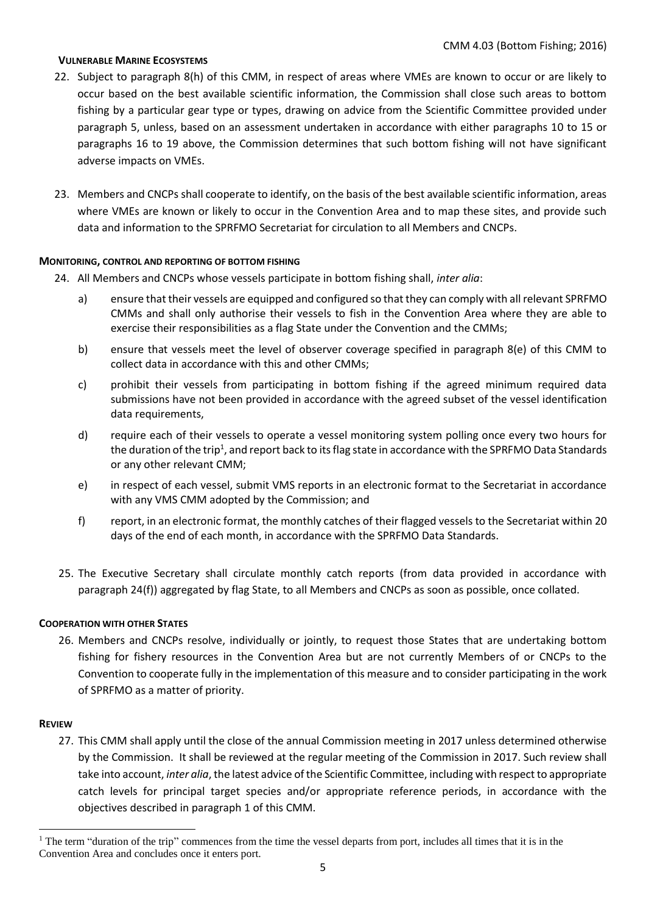#### **VULNERABLE MARINE ECOSYSTEMS**

- 22. Subject to paragraph 8(h) of this CMM, in respect of areas where VMEs are known to occur or are likely to occur based on the best available scientific information, the Commission shall close such areas to bottom fishing by a particular gear type or types, drawing on advice from the Scientific Committee provided under paragraph 5, unless, based on an assessment undertaken in accordance with either paragraphs 10 to 15 or paragraphs 16 to 19 above, the Commission determines that such bottom fishing will not have significant adverse impacts on VMEs.
- 23. Members and CNCPs shall cooperate to identify, on the basis of the best available scientific information, areas where VMEs are known or likely to occur in the Convention Area and to map these sites, and provide such data and information to the SPRFMO Secretariat for circulation to all Members and CNCPs.

#### **MONITORING, CONTROL AND REPORTING OF BOTTOM FISHING**

- 24. All Members and CNCPs whose vessels participate in bottom fishing shall, *inter alia*:
	- a) ensure that their vessels are equipped and configured so that they can comply with all relevant SPRFMO CMMs and shall only authorise their vessels to fish in the Convention Area where they are able to exercise their responsibilities as a flag State under the Convention and the CMMs;
	- b) ensure that vessels meet the level of observer coverage specified in paragraph 8(e) of this CMM to collect data in accordance with this and other CMMs;
	- c) prohibit their vessels from participating in bottom fishing if the agreed minimum required data submissions have not been provided in accordance with the agreed subset of the vessel identification data requirements,
	- d) require each of their vessels to operate a vessel monitoring system polling once every two hours for the duration of the trip<sup>1</sup>, and report back to its flag state in accordance with the SPRFMO Data Standards or any other relevant CMM;
	- e) in respect of each vessel, submit VMS reports in an electronic format to the Secretariat in accordance with any VMS CMM adopted by the Commission; and
	- f) report, in an electronic format, the monthly catches of their flagged vessels to the Secretariat within 20 days of the end of each month, in accordance with the SPRFMO Data Standards.
- 25. The Executive Secretary shall circulate monthly catch reports (from data provided in accordance with paragraph 24(f)) aggregated by flag State, to all Members and CNCPs as soon as possible, once collated.

#### **COOPERATION WITH OTHER STATES**

26. Members and CNCPs resolve, individually or jointly, to request those States that are undertaking bottom fishing for fishery resources in the Convention Area but are not currently Members of or CNCPs to the Convention to cooperate fully in the implementation of this measure and to consider participating in the work of SPRFMO as a matter of priority.

#### **REVIEW**

**.** 

27. This CMM shall apply until the close of the annual Commission meeting in 2017 unless determined otherwise by the Commission. It shall be reviewed at the regular meeting of the Commission in 2017. Such review shall take into account, *inter alia*, the latest advice of the Scientific Committee, including with respect to appropriate catch levels for principal target species and/or appropriate reference periods, in accordance with the objectives described in paragraph 1 of this CMM.

<sup>&</sup>lt;sup>1</sup> The term "duration of the trip" commences from the time the vessel departs from port, includes all times that it is in the Convention Area and concludes once it enters port.